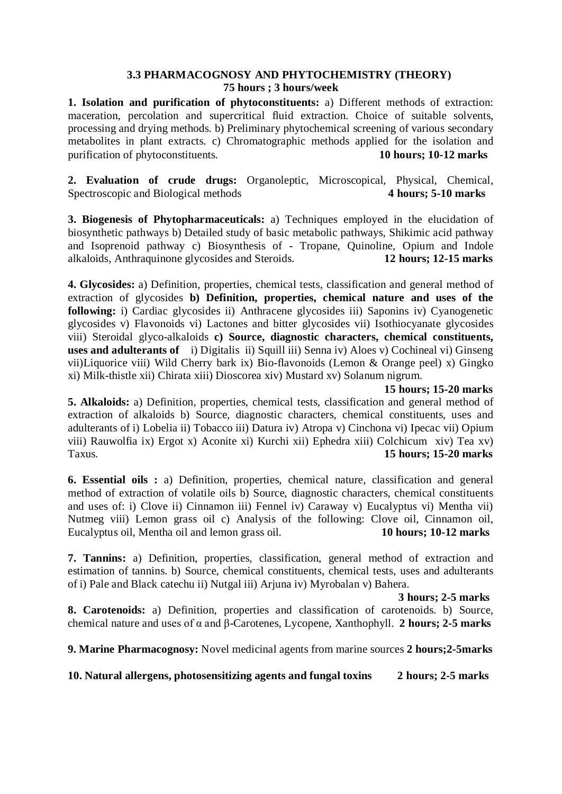## **3.3 PHARMACOGNOSY AND PHYTOCHEMISTRY (THEORY) 75 hours ; 3 hours/week**

**1. Isolation and purification of phytoconstituents:** a) Different methods of extraction: maceration, percolation and supercritical fluid extraction. Choice of suitable solvents, processing and drying methods. b) Preliminary phytochemical screening of various secondary metabolites in plant extracts. c) Chromatographic methods applied for the isolation and purification of phytoconstituents. **10 hours; 10-12 marks**

**2. Evaluation of crude drugs:** Organoleptic, Microscopical, Physical, Chemical, Spectroscopic and Biological methods **4 hours; 5-10 marks**

**3. Biogenesis of Phytopharmaceuticals:** a) Techniques employed in the elucidation of biosynthetic pathways b) Detailed study of basic metabolic pathways, Shikimic acid pathway and Isoprenoid pathway c) Biosynthesis of - Tropane, Quinoline, Opium and Indole alkaloids, Anthraquinone glycosides and Steroids. **12 hours; 12-15 marks**

**4. Glycosides:** a) Definition, properties, chemical tests, classification and general method of extraction of glycosides **b) Definition, properties, chemical nature and uses of the following:** i) Cardiac glycosides ii) Anthracene glycosides iii) Saponins iv) Cyanogenetic glycosides v) Flavonoids vi) Lactones and bitter glycosides vii) Isothiocyanate glycosides viii) Steroidal glyco-alkaloids **c) Source, diagnostic characters, chemical constituents, uses and adulterants of** i) Digitalis ii) Squill iii) Senna iv) Aloes v) Cochineal vi) Ginseng vii)Liquorice viii) Wild Cherry bark ix) Bio-flavonoids (Lemon & Orange peel) x) Gingko xi) Milk-thistle xii) Chirata xiii) Dioscorea xiv) Mustard xv) Solanum nigrum.

 **15 hours; 15-20 marks**

**5. Alkaloids:** a) Definition, properties, chemical tests, classification and general method of extraction of alkaloids b) Source, diagnostic characters, chemical constituents, uses and adulterants of i) Lobelia ii) Tobacco iii) Datura iv) Atropa v) Cinchona vi) Ipecac vii) Opium viii) Rauwolfia ix) Ergot x) Aconite xi) Kurchi xii) Ephedra xiii) Colchicum xiv) Tea xv) Taxus. **15 hours; 15-20 marks**

**6. Essential oils :** a) Definition, properties, chemical nature, classification and general method of extraction of volatile oils b) Source, diagnostic characters, chemical constituents and uses of: i) Clove ii) Cinnamon iii) Fennel iv) Caraway v) Eucalyptus vi) Mentha vii) Nutmeg viii) Lemon grass oil c) Analysis of the following: Clove oil, Cinnamon oil, Eucalyptus oil, Mentha oil and lemon grass oil. **10 hours; 10-12 marks**

**7. Tannins:** a) Definition, properties, classification, general method of extraction and estimation of tannins. b) Source, chemical constituents, chemical tests, uses and adulterants of i) Pale and Black catechu ii) Nutgal iii) Arjuna iv) Myrobalan v) Bahera.

**3 hours; 2-5 marks**

**8. Carotenoids:** a) Definition, properties and classification of carotenoids. b) Source, chemical nature and uses of α and β-Carotenes, Lycopene, Xanthophyll. **2 hours; 2-5 marks**

**9. Marine Pharmacognosy:** Novel medicinal agents from marine sources **2 hours;2-5marks**

**10. Natural allergens, photosensitizing agents and fungal toxins 2 hours; 2-5 marks**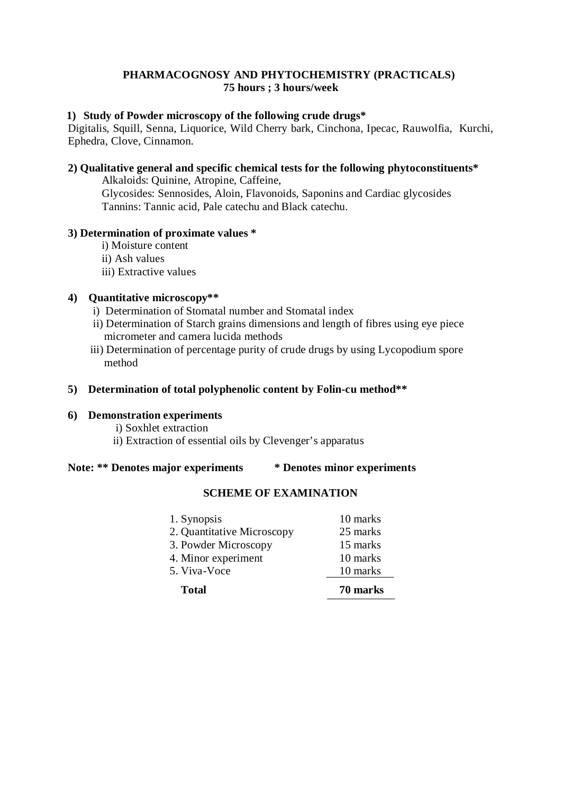## **PHARMACOGNOSY AND PHYTOCHEMISTRY (PRACTICALS) 75 hours ; 3 hours/week**

#### **1) Study of Powder microscopy of the following crude drugs\***

Digitalis, Squill, Senna, Liquorice, Wild Cherry bark, Cinchona, Ipecac, Rauwolfia, Kurchi, Ephedra, Clove, Cinnamon.

# **2) Qualitative general and specific chemical tests for the following phytoconstituents\***

Alkaloids: Quinine, Atropine, Caffeine,

Glycosides: Sennosides, Aloin, Flavonoids, Saponins and Cardiac glycosides Tannins: Tannic acid, Pale catechu and Black catechu.

#### **3) Determination of proximate values \***

- i) Moisture content
- ii) Ash values
- iii) Extractive values

#### **4) Quantitative microscopy\*\***

- i) Determination of Stomatal number and Stomatal index
- ii) Determination of Starch grains dimensions and length of fibres using eye piece micrometer and camera lucida methods
- iii) Determination of percentage purity of crude drugs by using Lycopodium spore method

## **5) Determination of total polyphenolic content by Folin-cu method\*\***

#### **6) Demonstration experiments**

- i) Soxhlet extraction
- ii) Extraction of essential oils by Clevenger's apparatus

#### **Note: \*\* Denotes major experiments \* Denotes minor experiments**

#### **SCHEME OF EXAMINATION**

| 1. Synopsis<br>2. Quantitative Microscopy | 10 marks<br>25 marks |
|-------------------------------------------|----------------------|
| 3. Powder Microscopy                      | 15 marks             |
| 4. Minor experiment                       | 10 marks             |
| 5. Viva-Voce                              | 10 marks             |
| <b>Total</b>                              | 70 marks             |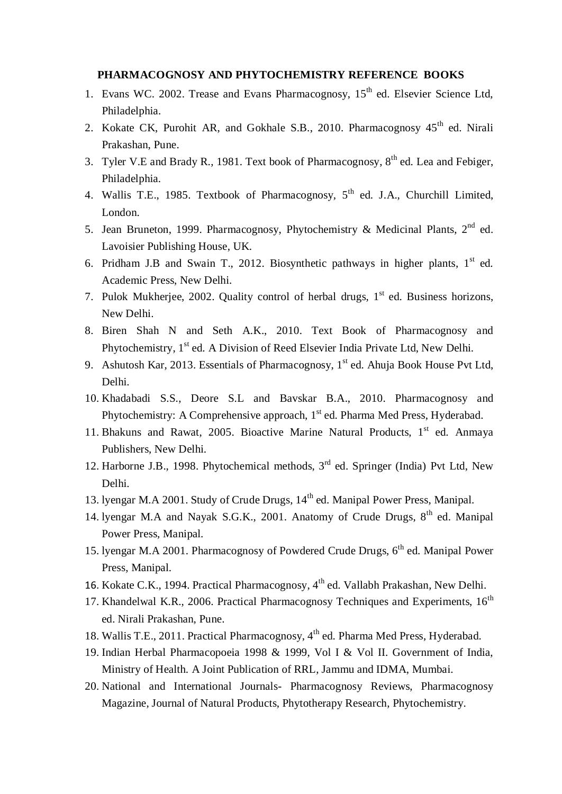#### **PHARMACOGNOSY AND PHYTOCHEMISTRY REFERENCE BOOKS**

- 1. Evans WC. 2002. Trease and Evans Pharmacognosy, 15<sup>th</sup> ed. Elsevier Science Ltd, Philadelphia.
- 2. Kokate CK, Purohit AR, and Gokhale S.B., 2010. Pharmacognosy 45<sup>th</sup> ed. Nirali Prakashan, Pune.
- 3. Tyler V.E and Brady R., 1981. Text book of Pharmacognosy,  $8<sup>th</sup>$  ed. Lea and Febiger, Philadelphia.
- 4. Wallis T.E., 1985. Textbook of Pharmacognosy, 5<sup>th</sup> ed. J.A., Churchill Limited, London.
- 5. Jean Bruneton, 1999. Pharmacognosy, Phytochemistry & Medicinal Plants,  $2^{nd}$  ed. Lavoisier Publishing House, UK.
- 6. Pridham J.B and Swain T., 2012. Biosynthetic pathways in higher plants,  $1<sup>st</sup>$  ed. Academic Press, New Delhi.
- 7. Pulok Mukherjee, 2002. Quality control of herbal drugs,  $1<sup>st</sup>$  ed. Business horizons, New Delhi.
- 8. Biren Shah N and Seth A.K., 2010. Text Book of Pharmacognosy and Phytochemistry, 1<sup>st</sup> ed. A Division of Reed Elsevier India Private Ltd, New Delhi.
- 9. Ashutosh Kar, 2013. Essentials of Pharmacognosy, 1<sup>st</sup> ed. Ahuja Book House Pvt Ltd, Delhi.
- 10. Khadabadi S.S., Deore S.L and Bavskar B.A., 2010. Pharmacognosy and Phytochemistry: A Comprehensive approach, 1<sup>st</sup> ed. Pharma Med Press, Hyderabad.
- 11. Bhakuns and Rawat, 2005. Bioactive Marine Natural Products, 1<sup>st</sup> ed. Anmaya Publishers, New Delhi.
- 12. Harborne J.B., 1998. Phytochemical methods, 3<sup>rd</sup> ed. Springer (India) Pvt Ltd, New Delhi.
- 13. lyengar M.A 2001. Study of Crude Drugs, 14<sup>th</sup> ed. Manipal Power Press, Manipal.
- 14. lyengar M.A and Nayak S.G.K., 2001. Anatomy of Crude Drugs, 8<sup>th</sup> ed. Manipal Power Press, Manipal.
- 15. lyengar M.A 2001. Pharmacognosy of Powdered Crude Drugs, 6<sup>th</sup> ed. Manipal Power Press, Manipal.
- 16. Kokate C.K., 1994. Practical Pharmacognosy, 4<sup>th</sup> ed. Vallabh Prakashan, New Delhi.
- 17. Khandelwal K.R., 2006. Practical Pharmacognosy Techniques and Experiments, 16<sup>th</sup> ed. Nirali Prakashan, Pune.
- 18. Wallis T.E., 2011. Practical Pharmacognosy, 4<sup>th</sup> ed. Pharma Med Press, Hyderabad.
- 19. Indian Herbal Pharmacopoeia 1998 & 1999, Vol I & Vol II. Government of India, Ministry of Health. A Joint Publication of RRL, Jammu and IDMA, Mumbai.
- 20. National and International Journals- Pharmacognosy Reviews, Pharmacognosy Magazine, Journal of Natural Products, Phytotherapy Research, Phytochemistry.